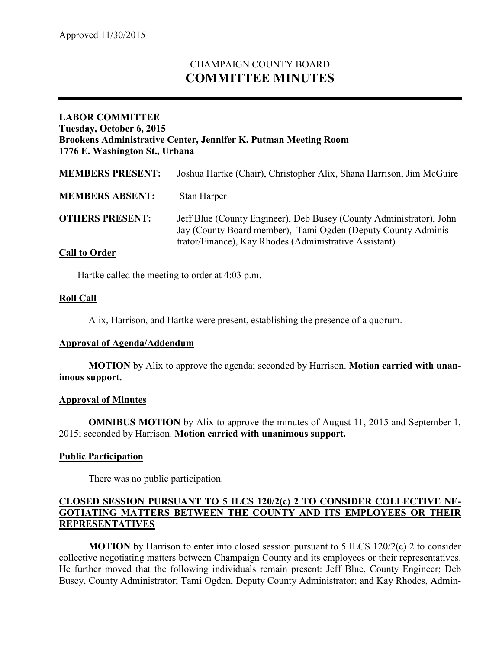# CHAMPAIGN COUNTY BOARD **COMMITTEE MINUTES**

## **LABOR COMMITTEE Tuesday, October 6, 2015 Brookens Administrative Center, Jennifer K. Putman Meeting Room 1776 E. Washington St., Urbana**

| <b>MEMBERS PRESENT:</b>                             | Joshua Hartke (Chair), Christopher Alix, Shana Harrison, Jim McGuire                                                                                                                           |
|-----------------------------------------------------|------------------------------------------------------------------------------------------------------------------------------------------------------------------------------------------------|
| <b>MEMBERS ABSENT:</b>                              | Stan Harper                                                                                                                                                                                    |
| <b>OTHERS PRESENT:</b><br>$\sim$ 11 $\sim$ $\sim$ 1 | Jeff Blue (County Engineer), Deb Busey (County Administrator), John<br>Jay (County Board member), Tami Ogden (Deputy County Adminis-<br>trator/Finance), Kay Rhodes (Administrative Assistant) |

### **Call to Order**

Hartke called the meeting to order at 4:03 p.m.

### **Roll Call**

Alix, Harrison, and Hartke were present, establishing the presence of a quorum.

### **Approval of Agenda/Addendum**

**MOTION** by Alix to approve the agenda; seconded by Harrison. **Motion carried with unanimous support.**

### **Approval of Minutes**

**OMNIBUS MOTION** by Alix to approve the minutes of August 11, 2015 and September 1, 2015; seconded by Harrison. **Motion carried with unanimous support.**

### **Public Participation**

There was no public participation.

## **CLOSED SESSION PURSUANT TO 5 ILCS 120/2(c) 2 TO CONSIDER COLLECTIVE NE-GOTIATING MATTERS BETWEEN THE COUNTY AND ITS EMPLOYEES OR THEIR REPRESENTATIVES**

**MOTION** by Harrison to enter into closed session pursuant to 5 ILCS 120/2(c) 2 to consider collective negotiating matters between Champaign County and its employees or their representatives. He further moved that the following individuals remain present: Jeff Blue, County Engineer; Deb Busey, County Administrator; Tami Ogden, Deputy County Administrator; and Kay Rhodes, Admin